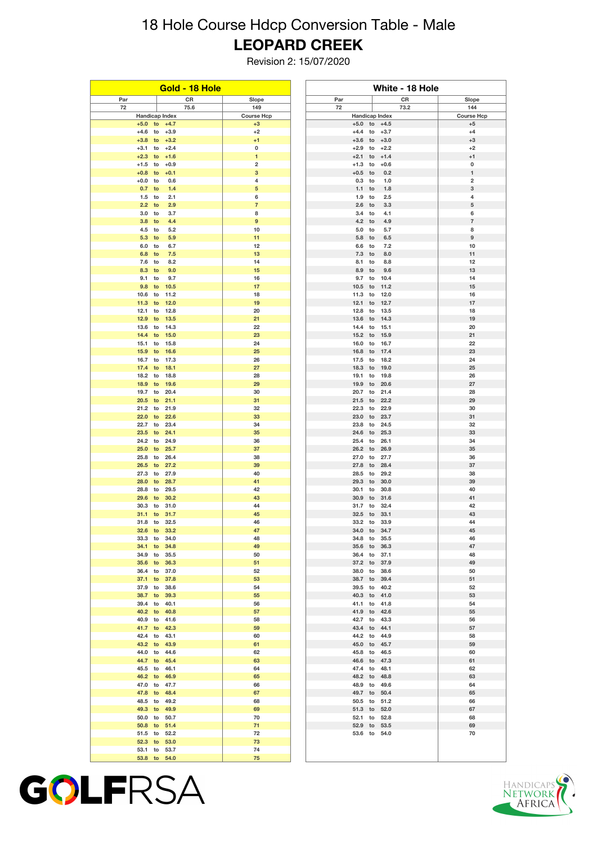## 18 Hole Course Hdcp Conversion Table - Male **LEOPARD CREEK**

Revision 2: 15/07/2020

| Gold - 18 Hole   |                              | White - 18 Hole           |                              |                                 |                           |
|------------------|------------------------------|---------------------------|------------------------------|---------------------------------|---------------------------|
| Par              | CR                           | Slope                     | Par                          | CR                              | Slope                     |
| 72               | 75.6                         | 149                       | 72                           | 73.2                            | 144                       |
| $+5.0$ to        | Handicap Index<br>$+4.7$     | <b>Course Hcp</b><br>$+3$ | $+5.0$ to                    | <b>Handicap Index</b><br>$+4.5$ | <b>Course Hcp</b><br>$+5$ |
| $+4.6$           | to<br>$+3.9$                 | $+2$                      | $+4.4$                       | to<br>$+3.7$                    | $+4$                      |
| $+3.8$           | $+3.2$<br>to                 | $+1$                      | $+3.6$<br>to                 | $+3.0$                          | $+3$                      |
| $+3.1$           | to<br>$+2.4$                 | 0                         | $+2.9$                       | to<br>$+2.2$                    | $+2$                      |
| $+2.3$           | to<br>$+1.6$                 | $\mathbf{1}$              | $+2.1$                       | to<br>$+1.4$                    | $+1$                      |
| $+1.5$<br>$+0.8$ | $+0.9$<br>to<br>$+0.1$<br>to | $\mathbf 2$<br>3          | $+1.3$<br>to<br>$+0.5$<br>to | $+0.6$<br>0.2                   | 0<br>$\mathbf{1}$         |
| $+0.0$           | 0.6<br>to                    | 4                         | 0.3<br>to                    | 1.0                             | 2                         |
| 0.7              | to<br>1.4                    | 5                         | 1.1<br>to                    | 1.8                             | 3                         |
| 1.5              | to<br>2.1                    | 6                         | 1.9<br>to                    | 2.5                             | 4                         |
| 2.2              | 2.9<br>to                    | 7                         | 2.6<br>to                    | 3.3                             | 5                         |
| 3.0              | to<br>3.7                    | 8<br>9                    | 3.4<br>to<br>4.2             | 4.1                             | 6                         |
| 3.8<br>4.5       | to<br>4.4<br>to<br>5.2       | 10                        | to<br>5.0<br>to              | 4.9<br>5.7                      | $\boldsymbol{7}$<br>8     |
| 5.3              | 5.9<br>to                    | 11                        | 5.8<br>to                    | 6.5                             | 9                         |
| 6.0              | 6.7<br>to                    | 12                        | 6.6<br>to                    | 7.2                             | 10                        |
| 6.8              | 7.5<br>to                    | 13                        | 7.3<br>to                    | 8.0                             | 11                        |
| 7.6              | 8.2<br>to                    | 14                        | 8.1<br>to                    | 8.8                             | 12                        |
| 8.3<br>9.1       | to<br>9.0<br>to<br>9.7       | 15<br>16                  | 8.9<br>to<br>9.7<br>to       | 9.6<br>10.4                     | 13<br>14                  |
| 9.8              | 10.5<br>to                   | 17                        | 10.5<br>to                   | 11.2                            | 15                        |
| 10.6             | to<br>11.2                   | 18                        | 11.3<br>to                   | 12.0                            | 16                        |
| 11.3             | to<br>12.0                   | 19                        | 12.1<br>to                   | 12.7                            | 17                        |
| 12.1             | to<br>12.8                   | 20                        | 12.8<br>to                   | 13.5                            | 18                        |
| 12.9<br>13.6     | to<br>13.5<br>14.3<br>to     | 21<br>22                  | 13.6<br>to<br>14.4<br>to     | 14.3<br>15.1                    | 19<br>20                  |
| 14.4             | to<br>15.0                   | 23                        | 15.2<br>to                   | 15.9                            | 21                        |
| 15.1             | 15.8<br>to                   | 24                        | 16.0<br>to                   | 16.7                            | 22                        |
| 15.9             | to<br>16.6                   | 25                        | 16.8<br>to                   | 17.4                            | 23                        |
| 16.7             | to<br>17.3                   | 26                        | 17.5<br>to                   | 18.2                            | 24                        |
| 17.4             | to<br>18.1<br>to             | 27                        | 18.3<br>to                   | 19.0                            | 25                        |
| 18.2<br>18.9     | 18.8<br>to<br>19.6           | 28<br>29                  | 19.1<br>to<br>19.9<br>to     | 19.8<br>20.6                    | 26<br>27                  |
| 19.7             | to<br>20.4                   | 30                        | 20.7<br>to                   | 21.4                            | 28                        |
| 20.5             | to<br>21.1                   | 31                        | 21.5<br>to                   | 22.2                            | 29                        |
| 21.2             | to<br>21.9                   | 32                        | 22.3                         | to<br>22.9                      | 30                        |
| 22.0<br>22.7     | to<br>22.6                   | 33                        | 23.0<br>to                   | 23.7                            | 31                        |
| 23.5             | 23.4<br>to<br>to<br>24.1     | 34<br>35                  | 23.8<br>to<br>24.6<br>to     | 24.5<br>25.3                    | 32<br>33                  |
| 24.2             | to<br>24.9                   | 36                        | 25.4<br>to                   | 26.1                            | 34                        |
| 25.0             | 25.7<br>to                   | 37                        | 26.2<br>to                   | 26.9                            | 35                        |
| 25.8             | to<br>26.4                   | 38                        | 27.0                         | 27.7<br>to                      | 36                        |
| 26.5<br>27.3     | 27.2<br>to<br>to<br>27.9     | 39<br>40                  | 27.8<br>to<br>28.5<br>to     | 28.4<br>29.2                    | 37<br>38                  |
| 28.0             | 28.7<br>to                   | 41                        | 29.3<br>to                   | 30.0                            | 39                        |
| 28.8             | 29.5<br>to                   | 42                        | 30.1<br>to                   | 30.8                            | 40                        |
| 29.6             | 30.2<br>to                   | 43                        | 30.9<br>to                   | 31.6                            | 41                        |
| 30.3             | 31.0<br>to                   | 44                        | 31.7<br>to                   | 32.4                            | 42                        |
| 31.1<br>31.8 to  | 31.7<br>to<br>32.5           | 45                        | 32.5<br>to<br>33.2 to        | 33.1<br>33.9                    | 43<br>44                  |
| 32.6             | 33.2<br>to                   | 46<br>47                  | 34.0<br>to                   | 34.7                            | 45                        |
| 33.3 to          | 34.0                         | 48                        | 34.8 to                      | 35.5                            | 46                        |
| 34.1             | 34.8<br>to                   | 49                        | 35.6<br>to                   | 36.3                            | 47                        |
| 34.9             | to<br>35.5                   | 50                        | 36.4<br>to                   | 37.1                            | 48                        |
| 35.6             | 36.3<br>to                   | 51<br>52                  | 37.2<br>to                   | 37.9                            | 49                        |
| 36.4<br>37.1     | to<br>37.0<br>37.8<br>to     | 53                        | 38.0<br>to<br>38.7<br>to     | 38.6<br>39.4                    | 50<br>51                  |
| 37.9 to          | 38.6                         | 54                        | 39.5<br>to                   | 40.2                            | 52                        |
| 38.7             | to<br>39.3                   | 55                        | 40.3<br>to                   | 41.0                            | 53                        |
| 39.4             | to<br>40.1                   | 56                        | 41.1<br>to                   | 41.8                            | 54                        |
| 40.2             | 40.8<br>to                   | 57                        | 41.9<br>to                   | 42.6                            | 55                        |
| 40.9<br>41.7     | to<br>41.6<br>42.3<br>to     | 58<br>59                  | 42.7<br>to<br>43.4<br>to     | 43.3<br>44.1                    | 56<br>57                  |
| 42.4             | to<br>43.1                   | 60                        | 44.2<br>to                   | 44.9                            | 58                        |
| 43.2             | 43.9<br>to                   | 61                        | 45.0<br>to                   | 45.7                            | 59                        |
| 44.0             | 44.6<br>to                   | 62                        | 45.8<br>to                   | 46.5                            | 60                        |
| 44.7             | to<br>45.4                   | 63                        | 46.6<br>to                   | 47.3                            | 61                        |
| 45.5             | 46.1<br>to                   | 64                        | 47.4<br>to                   | 48.1                            | 62                        |
| 46.2<br>47.0     | 46.9<br>to<br>to<br>47.7     | 65<br>66                  | 48.2<br>to<br>48.9<br>to     | 48.8<br>49.6                    | 63<br>64                  |
| 47.8             | 48.4<br>to                   | 67                        | 49.7<br>to                   | 50.4                            | 65                        |
| 48.5             | 49.2<br>to                   | 68                        | 50.5<br>to                   | 51.2                            | 66                        |
| 49.3             | 49.9<br>to                   | 69                        | 51.3<br>to                   | 52.0                            | 67                        |
| 50.0             | to<br>50.7                   | 70                        | 52.1<br>to                   | 52.8                            | 68                        |
| 50.8             | 51.4<br>to                   | 71                        | 52.9<br>to                   | 53.5                            | 69                        |
| 51.5 to          | 52.2                         | 72<br>73                  | 53.6<br>to                   | 54.0                            | 70                        |
|                  |                              |                           |                              |                                 |                           |
| 52.3<br>53.1     | 53.0<br>to<br>53.7<br>to     | 74                        |                              |                                 |                           |



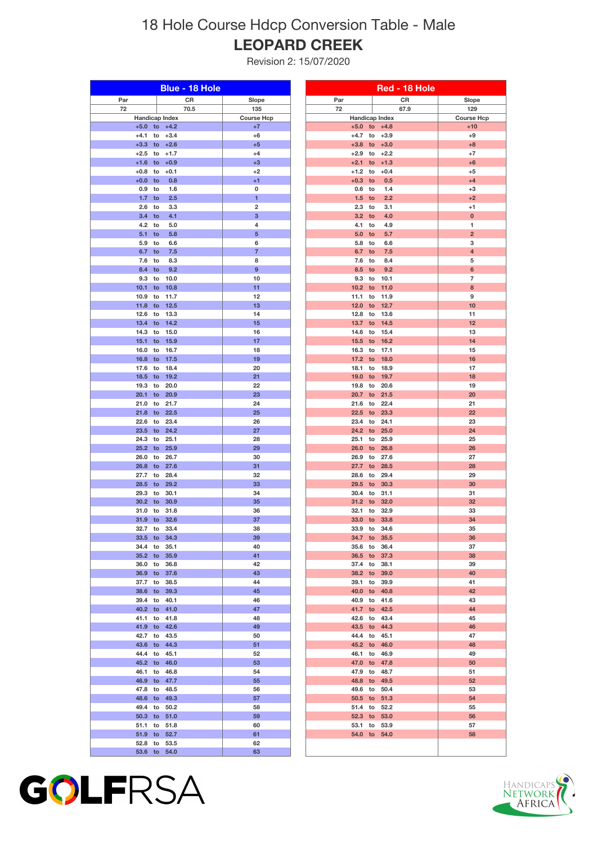## 18 Hole Course Hdcp Conversion Table - Male **LEOPARD CREEK**

Revision 2: 15/07/2020

| Blue - 18 Hole   |                            | Red - 18 Hole           |                                                  |                                |  |
|------------------|----------------------------|-------------------------|--------------------------------------------------|--------------------------------|--|
| Par              | ${\sf CR}$                 | Slope                   | Par                                              | CR<br>Slope                    |  |
| 72               | 70.5                       | 135                     | 72                                               | 129<br>67.9                    |  |
|                  | <b>Handicap Index</b>      | <b>Course Hcp</b>       | <b>Handicap Index</b>                            | <b>Course Hcp</b>              |  |
| $+5.0$           | to $+4.2$                  | $+7$                    | $+5.0$ to $+4.8$                                 | $+10$                          |  |
| $+4.1$<br>$+3.3$ | $+3.4$<br>to<br>to $+2.6$  | $+6$<br>$+5$            | $+4.7$<br>to<br>$+3.9$<br>$+3.0$<br>$+3.8$<br>to | $+9$<br>$+8$                   |  |
| $+2.5$           | $+1.7$<br>to               | $+4$                    | $+2.9$<br>$+2.2$<br>to                           | $+7$                           |  |
| $+1.6$           | $+0.9$<br>to               | $+3$                    | $+1.3$<br>$+2.1$<br>to                           | $+6$                           |  |
| $+0.8$           | to<br>$+0.1$               | $+2$                    | $+1.2$<br>to<br>$+0.4$                           | $+5$                           |  |
| $+0.0$           | to<br>0.8                  | $+1$                    | $+0.3$<br>to<br>0.5                              | $+4$                           |  |
| 0.9              | to<br>1.6                  | 0                       | 0.6<br>1.4<br>to                                 | $+3$                           |  |
| 1.7              | to<br>2.5                  | 1                       | 1.5<br>to<br>2.2                                 | $+2$                           |  |
| 2.6<br>3.4       | 3.3<br>to<br>4.1<br>to     | $\mathbf 2$<br>3        | 2.3<br>3.1<br>to<br>3.2<br>4.0<br>to             | $+1$<br>$\bf{0}$               |  |
| 4.2              | 5.0<br>to                  | 4                       | 4.9<br>4.1<br>to                                 | 1                              |  |
| 5.1              | 5.8<br>to                  | 5                       | 5.0<br>5.7<br>to                                 | $\overline{2}$                 |  |
| 5.9              | to<br>6.6                  | 6                       | 5.8<br>6.6<br>to                                 | 3                              |  |
| 6.7              | 7.5<br>to                  | $\overline{\mathbf{7}}$ | 6.7<br>7.5<br>to                                 | 4                              |  |
| 7.6              | to<br>8.3                  | 8                       | 8.4<br>7.6<br>to                                 | 5                              |  |
| 8.4<br>9.3       | 9.2<br>to<br>10.0<br>to    | 9<br>10                 | 9.2<br>8.5<br>to<br>9.3<br>10.1<br>to            | 6<br>$\overline{\mathfrak{c}}$ |  |
| 10.1             | 10.8<br>to                 | 11                      | 11.0<br>10.2<br>to                               | 8                              |  |
| 10.9             | 11.7<br>to                 | 12                      | 11.1<br>11.9<br>to                               | 9                              |  |
| 11.8             | 12.5<br>to                 | 13                      | 12.0<br>12.7<br>to                               | 10                             |  |
| 12.6             | to<br>13.3                 | 14                      | 12.8<br>13.6<br>to                               | 11                             |  |
| 13.4             | to<br>14.2                 | 15                      | 13.7<br>14.5<br>to                               | 12                             |  |
| 14.3             | 15.0<br>to                 | 16                      | 14.6<br>15.4<br>to                               | 13                             |  |
| 15.1<br>16.0     | to<br>15.9<br>16.7<br>to   | 17<br>18                | 15.5<br>16.2<br>to<br>17.1<br>16.3<br>to         | 14<br>15                       |  |
| 16.8             | 17.5<br>to                 | 19                      | 17.2<br>18.0<br>to                               | 16                             |  |
| 17.6             | 18.4<br>to                 | 20                      | 18.9<br>18.1<br>to                               | 17                             |  |
| 18.5             | 19.2<br>to                 | 21                      | 19.0<br>19.7<br>to                               | 18                             |  |
| 19.3             | 20.0<br>to                 | 22                      | 19.8<br>20.6<br>to                               | 19                             |  |
| 20.1             | 20.9<br>to                 | 23                      | 20.7<br>21.5<br>to                               | 20                             |  |
| 21.0<br>21.8     | 21.7<br>to<br>22.5<br>to   | 24<br>25                | 22.4<br>21.6<br>to<br>22.5<br>23.3<br>to         | 21<br>22                       |  |
| 22.6             | 23.4<br>to                 | 26                      | 23.4<br>24.1<br>to                               | 23                             |  |
| 23.5             | 24.2<br>to                 | 27                      | 25.0<br>24.2<br>to                               | 24                             |  |
| 24.3             | 25.1<br>to                 | 28                      | 25.9<br>25.1<br>to                               | 25                             |  |
| 25.2             | 25.9<br>to                 | 29                      | 26.0<br>26.8<br>to                               | 26                             |  |
| 26.0             | 26.7<br>to                 | 30                      | 26.9<br>to<br>27.6                               | 27                             |  |
| 26.8<br>27.7     | 27.6<br>to<br>28.4<br>to   | 31<br>32                | 27.7<br>to<br>28.5<br>28.6<br>to<br>29.4         | 28<br>29                       |  |
| 28.5             | 29.2<br>to                 | 33                      | 29.5<br>30.3<br>to                               | 30                             |  |
| 29.3             | 30.1<br>to                 | 34                      | 31.1<br>30.4<br>to                               | 31                             |  |
| 30.2             | 30.9<br>to                 | 35                      | 31.2<br>32.0<br>to                               | 32                             |  |
| 31.0             | 31.8<br>to                 | 36                      | 32.9<br>32.1<br>to                               | 33                             |  |
| 31.9 to<br>32.7  | 32.6                       | 37                      | 33.0<br>33.8<br>to                               | 34                             |  |
| 33.5 to          | 33.4<br>to<br>34.3         | 38<br>39                | 33.9<br>34.6<br>to<br>34.7 to<br>35.5            | 35<br>36                       |  |
| 34.4             | 35.1<br>to                 | 40                      | 36.4<br>35.6<br>to                               | 37                             |  |
| 35.2 to          | 35.9                       | 41                      | 36.5 to<br>37.3                                  | 38                             |  |
| 36.0             | 36.8<br>to                 | 42                      | 37.4 to<br>38.1                                  | 39                             |  |
| 36.9 to          | 37.6                       | 43                      | 38.2 to<br>39.0                                  | 40                             |  |
| 37.7             | 38.5<br>to                 | 44                      | 39.1<br>39.9<br>to                               | 41                             |  |
| 38.6<br>39.4     | to<br>39.3<br>40.1<br>to   | 45<br>46                | 40.0 to<br>40.8<br>40.9<br>to<br>41.6            | 42<br>43                       |  |
| 40.2 to          | 41.0                       | 47                      | 41.7 to<br>42.5                                  | 44                             |  |
| 41.1             | 41.8<br>to                 | 48                      | 42.6<br>to<br>43.4                               | 45                             |  |
|                  | 41.9 to 42.6               | 49                      | 43.5 to<br>44.3                                  | 46                             |  |
| 42.7             | 43.5<br>to                 | 50                      | 44.4 to<br>45.1                                  | 47                             |  |
|                  | 43.6 to 44.3               | 51                      | 45.2 to<br>46.0                                  | 48                             |  |
| 44.4             | 45.1<br>to<br>45.2 to 46.0 | 52<br>53                | 46.1<br>46.9<br>to<br>47.0 to<br>47.8            | 49<br>50                       |  |
| 46.1 to          | 46.8                       | 54                      | 47.9 to<br>48.7                                  | 51                             |  |
|                  | 46.9 to 47.7               | 55                      | 48.8 to<br>49.5                                  | 52                             |  |
| 47.8             | 48.5<br>to                 | 56                      | 49.6 to<br>50.4                                  | 53                             |  |
|                  | 48.6 to 49.3               | 57                      | 50.5 to<br>51.3                                  | 54                             |  |
| 49.4 to          | 50.2                       | 58                      | 51.4 to<br>52.2                                  | 55                             |  |
| 50.3 to          | 51.0                       | 59                      | 52.3 to<br>53.0                                  | 56                             |  |
| 51.1<br>51.9     | 51.8<br>to<br>52.7<br>to   | 60<br>61                | 53.1 to<br>53.9<br>54.0<br>to<br>54.0            | 57<br>58                       |  |
| 52.8             | to<br>53.5                 | 62                      |                                                  |                                |  |
| 53.6             | 54.0<br>to                 | 63                      |                                                  |                                |  |
|                  |                            |                         |                                                  |                                |  |